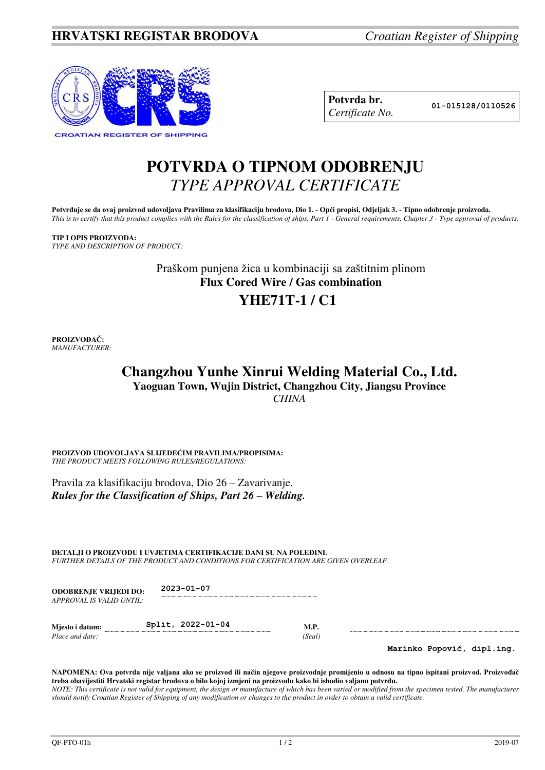

| Potvrda br.     |
|-----------------|
| Certificate No. |

**Potvrda br. 01-015128/0110526**

## **POTVRDA O TIPNOM ODOBRENJU**  *TYPE APPROVAL CERTIFICATE*

Potvrđuje se da ovaj proizvod udovoljava Pravilima za klasifikaciju brodova, Dio 1. - Opći propisi, Odjeljak 3. - Tipno odobrenje proizvoda. *This is to certify that this product complies with the Rules for the classification of ships, Part 1 - General requirements, Chapter 3 - Type approval of products.* 

**TIP I OPIS PROIZVODA:** *TYPE AND DESCRIPTION OF PRODUCT:* 

> Praškom punjena žica u kombinaciji sa zaštitnim plinom **Flux Cored Wire / Gas combination YHE71T-1 / C1**

**PROIZVOĐAČ:** *MANUFACTURER:*

### **Changzhou Yunhe Xinrui Welding Material Co., Ltd. Yaoguan Town, Wujin District, Changzhou City, Jiangsu Province**  *CHINA*

**PROIZVOD UDOVOLJAVA SLIJEDEĆIM PRAVILIMA/PROPISIMA:** *THE PRODUCT MEETS FOLLOWING RULES/REGULATIONS:* 

Pravila za klasifikaciju brodova, Dio 26 – Zavarivanje. *Rules for the Classification of Ships, Part 26 – Welding.*

**DETALJI O PROIZVODU I UVJETIMA CERTIFIKACIJE DANI SU NA POLEĐINI.** *FURTHER DETAILS OF THE PRODUCT AND CONDITIONS FOR CERTIFICATION ARE GIVEN OVERLEAF.* 

**ODOBRENJE VRIJEDI DO: 2023-01-07** *APPROVAL IS VALID UNTIL:*

**Mjesto i datum: Split, 2022-01-04 M.P.**  *Place and date: (Seal)* 

**Marinko Popović, dipl.ing.**

**NAPOMENA: Ova potvrda nije valjana ako se proizvod ili način njegove proizvodnje promijenio u odnosu na tipno ispitani proizvod. Proizvođač treba obavijestiti Hrvatski registar brodova o bilo kojoj izmjeni na proizvodu kako bi ishodio valjanu potvrdu.**  *NOTE: This certificate is not valid for equipment, the design or manufacture of which has been varied or modified from the specimen tested. The manufacturer should notify Croatian Register of Shipping of any modification or changes to the product in order to obtain a valid certificate.*